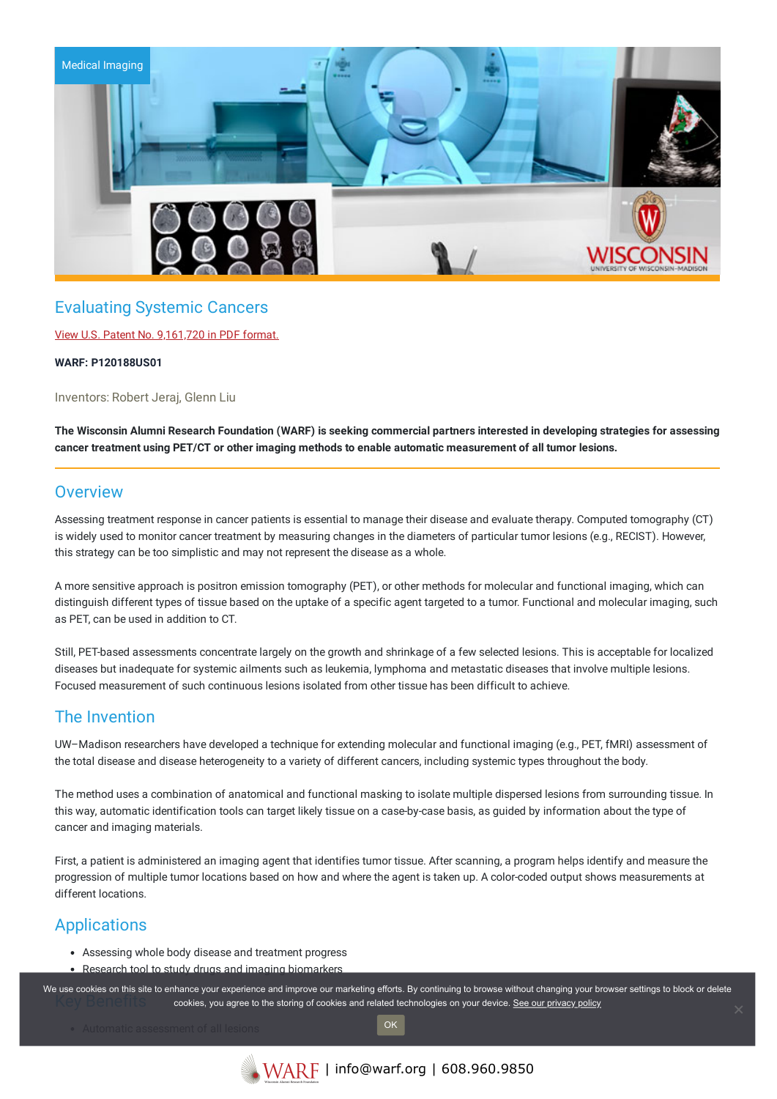

# Evaluating Systemic Cancers

### View U.S. Patent No. [9,161,720](https://www.warf.org/wp-content/uploads/technologies/ipstatus/P120188US01.PDF) in PDF format.

#### **WARF: P120188US01**

Inventors: Robert Jeraj, Glenn Liu

The Wisconsin Alumni Research Foundation (WARF) is seeking commercial partners interested in developing strategies for assessing **cancer treatment using PET/CT or other imaging methods to enable automatic measurement of all tumor lesions.**

### **Overview**

Assessing treatment response in cancer patients is essential to manage their disease and evaluate therapy. Computed tomography (CT) is widely used to monitor cancer treatment by measuring changes in the diameters of particular tumor lesions (e.g., RECIST). However, this strategy can be too simplistic and may not represent the disease as a whole.

A more sensitive approach is positron emission tomography (PET), or other methods for molecular and functional imaging, which can distinguish different types of tissue based on the uptake of a specific agent targeted to a tumor. Functional and molecular imaging, such as PET, can be used in addition to CT.

Still, PET-based assessments concentrate largely on the growth and shrinkage of a few selected lesions. This is acceptable for localized diseases but inadequate for systemic ailments such as leukemia, lymphoma and metastatic diseases that involve multiple lesions. Focused measurement of such continuous lesions isolated from other tissue has been difficult to achieve.

# The Invention

UW–Madison researchers have developed a technique for extending molecular and functional imaging (e.g., PET, fMRI) assessment of the total disease and disease heterogeneity to a variety of different cancers, including systemic types throughout the body.

The method uses a combination of anatomical and functional masking to isolate multiple dispersed lesions from surrounding tissue. In this way, automatic identification tools can target likely tissue on a case-by-case basis, as guided by information about the type of cancer and imaging materials.

First, a patient is administered an imaging agent that identifies tumor tissue. After scanning, a program helps identify and measure the progression of multiple tumor locations based on how and where the agent is taken up. A color-coded output shows measurements at different locations.

# **Applications**

- Assessing whole body disease and treatment progress
- Research tool to study drugs and imaging biomarkers

We use cookies on this site to enhance your experience and improve our marketing efforts. By continuing to browse without changing your browser settings to block or delete cookies, you agree to the storing of cookies and related technologies on your device. [See our privacy policy](https://www.warf.org/privacy-policy/)

OK